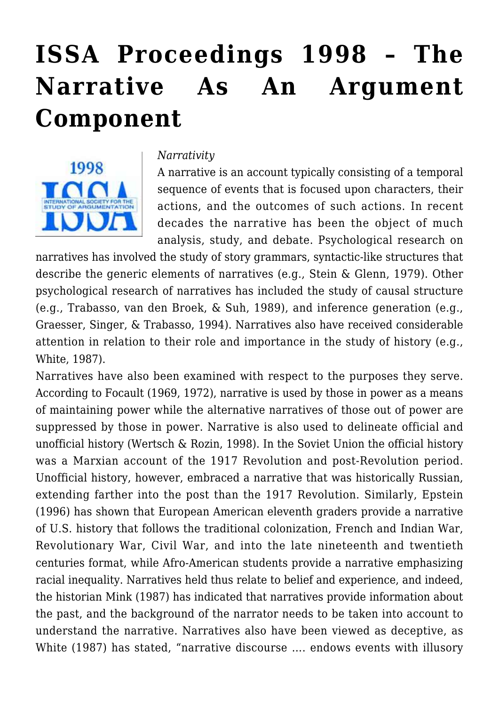## **[ISSA Proceedings 1998 – The](https://rozenbergquarterly.com/issa-proceedings-1998-the-narrative-as-an-argument-component/) [Narrative As An Argument](https://rozenbergquarterly.com/issa-proceedings-1998-the-narrative-as-an-argument-component/) [Component](https://rozenbergquarterly.com/issa-proceedings-1998-the-narrative-as-an-argument-component/)**



## *Narrativity*

A narrative is an account typically consisting of a temporal sequence of events that is focused upon characters, their actions, and the outcomes of such actions. In recent decades the narrative has been the object of much analysis, study, and debate. Psychological research on

narratives has involved the study of story grammars, syntactic-like structures that describe the generic elements of narratives (e.g., Stein & Glenn, 1979). Other psychological research of narratives has included the study of causal structure (e.g., Trabasso, van den Broek, & Suh, 1989), and inference generation (e.g., Graesser, Singer, & Trabasso, 1994). Narratives also have received considerable attention in relation to their role and importance in the study of history (e.g., White, 1987).

Narratives have also been examined with respect to the purposes they serve. According to Focault (1969, 1972), narrative is used by those in power as a means of maintaining power while the alternative narratives of those out of power are suppressed by those in power. Narrative is also used to delineate official and unofficial history (Wertsch & Rozin, 1998). In the Soviet Union the official history was a Marxian account of the 1917 Revolution and post-Revolution period. Unofficial history, however, embraced a narrative that was historically Russian, extending farther into the post than the 1917 Revolution. Similarly, Epstein (1996) has shown that European American eleventh graders provide a narrative of U.S. history that follows the traditional colonization, French and Indian War, Revolutionary War, Civil War, and into the late nineteenth and twentieth centuries format, while Afro-American students provide a narrative emphasizing racial inequality. Narratives held thus relate to belief and experience, and indeed, the historian Mink (1987) has indicated that narratives provide information about the past, and the background of the narrator needs to be taken into account to understand the narrative. Narratives also have been viewed as deceptive, as White (1987) has stated, "narrative discourse …. endows events with illusory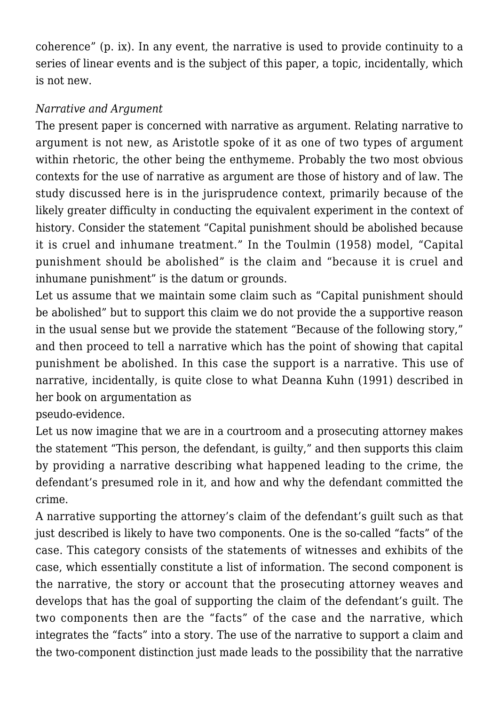coherence" (p. ix). In any event, the narrative is used to provide continuity to a series of linear events and is the subject of this paper, a topic, incidentally, which is not new.

## *Narrative and Argument*

The present paper is concerned with narrative as argument. Relating narrative to argument is not new, as Aristotle spoke of it as one of two types of argument within rhetoric, the other being the enthymeme. Probably the two most obvious contexts for the use of narrative as argument are those of history and of law. The study discussed here is in the jurisprudence context, primarily because of the likely greater difficulty in conducting the equivalent experiment in the context of history. Consider the statement "Capital punishment should be abolished because it is cruel and inhumane treatment." In the Toulmin (1958) model, "Capital punishment should be abolished" is the claim and "because it is cruel and inhumane punishment" is the datum or grounds.

Let us assume that we maintain some claim such as "Capital punishment should be abolished" but to support this claim we do not provide the a supportive reason in the usual sense but we provide the statement "Because of the following story," and then proceed to tell a narrative which has the point of showing that capital punishment be abolished. In this case the support is a narrative. This use of narrative, incidentally, is quite close to what Deanna Kuhn (1991) described in her book on argumentation as

pseudo-evidence.

Let us now imagine that we are in a courtroom and a prosecuting attorney makes the statement "This person, the defendant, is guilty," and then supports this claim by providing a narrative describing what happened leading to the crime, the defendant's presumed role in it, and how and why the defendant committed the crime.

A narrative supporting the attorney's claim of the defendant's guilt such as that just described is likely to have two components. One is the so-called "facts" of the case. This category consists of the statements of witnesses and exhibits of the case, which essentially constitute a list of information. The second component is the narrative, the story or account that the prosecuting attorney weaves and develops that has the goal of supporting the claim of the defendant's guilt. The two components then are the "facts" of the case and the narrative, which integrates the "facts" into a story. The use of the narrative to support a claim and the two-component distinction just made leads to the possibility that the narrative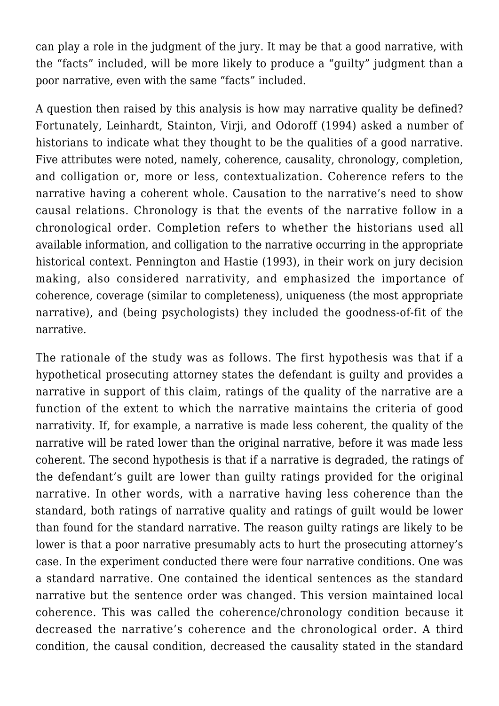can play a role in the judgment of the jury. It may be that a good narrative, with the "facts" included, will be more likely to produce a "guilty" judgment than a poor narrative, even with the same "facts" included.

A question then raised by this analysis is how may narrative quality be defined? Fortunately, Leinhardt, Stainton, Virii, and Odoroff (1994) asked a number of historians to indicate what they thought to be the qualities of a good narrative. Five attributes were noted, namely, coherence, causality, chronology, completion, and colligation or, more or less, contextualization. Coherence refers to the narrative having a coherent whole. Causation to the narrative's need to show causal relations. Chronology is that the events of the narrative follow in a chronological order. Completion refers to whether the historians used all available information, and colligation to the narrative occurring in the appropriate historical context. Pennington and Hastie (1993), in their work on jury decision making, also considered narrativity, and emphasized the importance of coherence, coverage (similar to completeness), uniqueness (the most appropriate narrative), and (being psychologists) they included the goodness-of-fit of the narrative.

The rationale of the study was as follows. The first hypothesis was that if a hypothetical prosecuting attorney states the defendant is guilty and provides a narrative in support of this claim, ratings of the quality of the narrative are a function of the extent to which the narrative maintains the criteria of good narrativity. If, for example, a narrative is made less coherent, the quality of the narrative will be rated lower than the original narrative, before it was made less coherent. The second hypothesis is that if a narrative is degraded, the ratings of the defendant's guilt are lower than guilty ratings provided for the original narrative. In other words, with a narrative having less coherence than the standard, both ratings of narrative quality and ratings of guilt would be lower than found for the standard narrative. The reason guilty ratings are likely to be lower is that a poor narrative presumably acts to hurt the prosecuting attorney's case. In the experiment conducted there were four narrative conditions. One was a standard narrative. One contained the identical sentences as the standard narrative but the sentence order was changed. This version maintained local coherence. This was called the coherence/chronology condition because it decreased the narrative's coherence and the chronological order. A third condition, the causal condition, decreased the causality stated in the standard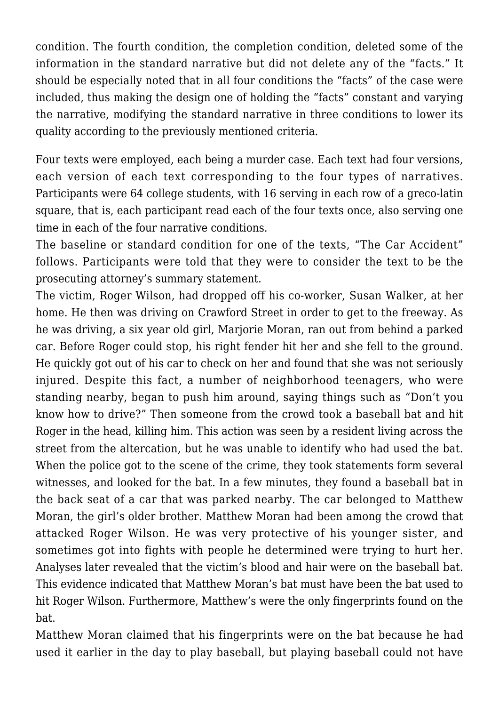condition. The fourth condition, the completion condition, deleted some of the information in the standard narrative but did not delete any of the "facts." It should be especially noted that in all four conditions the "facts" of the case were included, thus making the design one of holding the "facts" constant and varying the narrative, modifying the standard narrative in three conditions to lower its quality according to the previously mentioned criteria.

Four texts were employed, each being a murder case. Each text had four versions, each version of each text corresponding to the four types of narratives. Participants were 64 college students, with 16 serving in each row of a greco-latin square, that is, each participant read each of the four texts once, also serving one time in each of the four narrative conditions.

The baseline or standard condition for one of the texts, "The Car Accident" follows. Participants were told that they were to consider the text to be the prosecuting attorney's summary statement.

The victim, Roger Wilson, had dropped off his co-worker, Susan Walker, at her home. He then was driving on Crawford Street in order to get to the freeway. As he was driving, a six year old girl, Marjorie Moran, ran out from behind a parked car. Before Roger could stop, his right fender hit her and she fell to the ground. He quickly got out of his car to check on her and found that she was not seriously injured. Despite this fact, a number of neighborhood teenagers, who were standing nearby, began to push him around, saying things such as "Don't you know how to drive?" Then someone from the crowd took a baseball bat and hit Roger in the head, killing him. This action was seen by a resident living across the street from the altercation, but he was unable to identify who had used the bat. When the police got to the scene of the crime, they took statements form several witnesses, and looked for the bat. In a few minutes, they found a baseball bat in the back seat of a car that was parked nearby. The car belonged to Matthew Moran, the girl's older brother. Matthew Moran had been among the crowd that attacked Roger Wilson. He was very protective of his younger sister, and sometimes got into fights with people he determined were trying to hurt her. Analyses later revealed that the victim's blood and hair were on the baseball bat. This evidence indicated that Matthew Moran's bat must have been the bat used to hit Roger Wilson. Furthermore, Matthew's were the only fingerprints found on the bat.

Matthew Moran claimed that his fingerprints were on the bat because he had used it earlier in the day to play baseball, but playing baseball could not have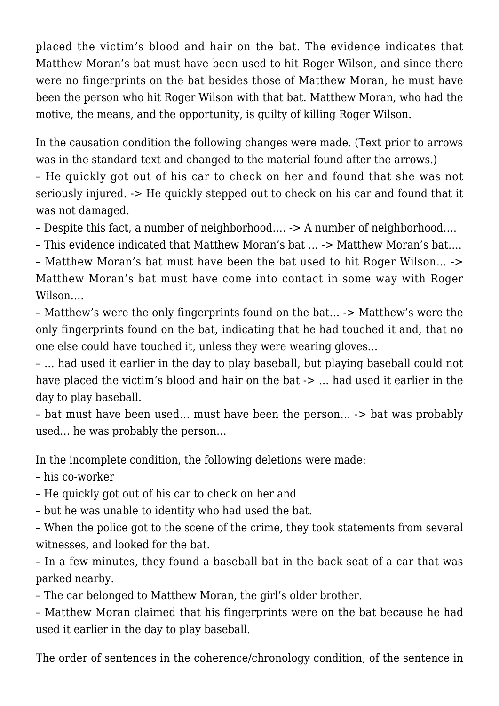placed the victim's blood and hair on the bat. The evidence indicates that Matthew Moran's bat must have been used to hit Roger Wilson, and since there were no fingerprints on the bat besides those of Matthew Moran, he must have been the person who hit Roger Wilson with that bat. Matthew Moran, who had the motive, the means, and the opportunity, is guilty of killing Roger Wilson.

In the causation condition the following changes were made. (Text prior to arrows was in the standard text and changed to the material found after the arrows.)

– He quickly got out of his car to check on her and found that she was not seriously injured. -> He quickly stepped out to check on his car and found that it was not damaged.

– Despite this fact, a number of neighborhood…. -> A number of neighborhood….

– This evidence indicated that Matthew Moran's bat … -> Matthew Moran's bat….

– Matthew Moran's bat must have been the bat used to hit Roger Wilson… -> Matthew Moran's bat must have come into contact in some way with Roger Wilson….

– Matthew's were the only fingerprints found on the bat… -> Matthew's were the only fingerprints found on the bat, indicating that he had touched it and, that no one else could have touched it, unless they were wearing gloves…

– … had used it earlier in the day to play baseball, but playing baseball could not have placed the victim's blood and hair on the bat  $\rightarrow$  ... had used it earlier in the day to play baseball.

– bat must have been used… must have been the person… -> bat was probably used… he was probably the person…

In the incomplete condition, the following deletions were made:

– his co-worker

– He quickly got out of his car to check on her and

– but he was unable to identity who had used the bat.

– When the police got to the scene of the crime, they took statements from several witnesses, and looked for the bat.

– In a few minutes, they found a baseball bat in the back seat of a car that was parked nearby.

– The car belonged to Matthew Moran, the girl's older brother.

– Matthew Moran claimed that his fingerprints were on the bat because he had used it earlier in the day to play baseball.

The order of sentences in the coherence/chronology condition, of the sentence in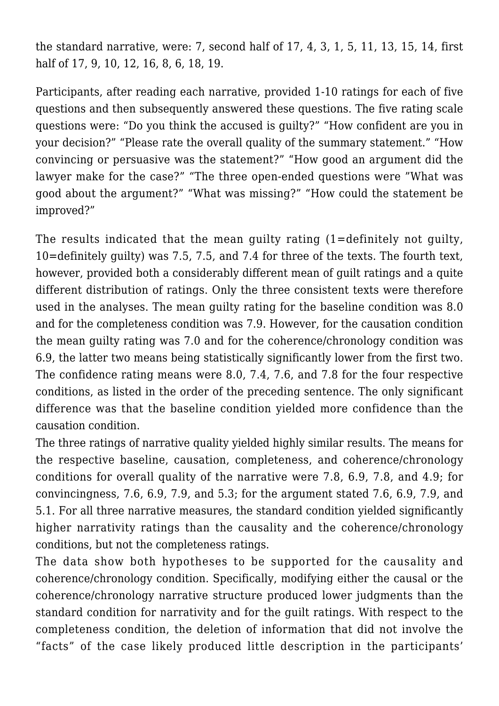the standard narrative, were: 7, second half of 17, 4, 3, 1, 5, 11, 13, 15, 14, first half of 17, 9, 10, 12, 16, 8, 6, 18, 19.

Participants, after reading each narrative, provided 1-10 ratings for each of five questions and then subsequently answered these questions. The five rating scale questions were: "Do you think the accused is guilty?" "How confident are you in your decision?" "Please rate the overall quality of the summary statement." "How convincing or persuasive was the statement?" "How good an argument did the lawyer make for the case?" "The three open-ended questions were "What was good about the argument?" "What was missing?" "How could the statement be improved?"

The results indicated that the mean guilty rating (1=definitely not guilty, 10=definitely guilty) was 7.5, 7.5, and 7.4 for three of the texts. The fourth text, however, provided both a considerably different mean of quilt ratings and a quite different distribution of ratings. Only the three consistent texts were therefore used in the analyses. The mean guilty rating for the baseline condition was 8.0 and for the completeness condition was 7.9. However, for the causation condition the mean guilty rating was 7.0 and for the coherence/chronology condition was 6.9, the latter two means being statistically significantly lower from the first two. The confidence rating means were 8.0, 7.4, 7.6, and 7.8 for the four respective conditions, as listed in the order of the preceding sentence. The only significant difference was that the baseline condition yielded more confidence than the causation condition.

The three ratings of narrative quality yielded highly similar results. The means for the respective baseline, causation, completeness, and coherence/chronology conditions for overall quality of the narrative were 7.8, 6.9, 7.8, and 4.9; for convincingness, 7.6, 6.9, 7.9, and 5.3; for the argument stated 7.6, 6.9, 7.9, and 5.1. For all three narrative measures, the standard condition yielded significantly higher narrativity ratings than the causality and the coherence/chronology conditions, but not the completeness ratings.

The data show both hypotheses to be supported for the causality and coherence/chronology condition. Specifically, modifying either the causal or the coherence/chronology narrative structure produced lower judgments than the standard condition for narrativity and for the guilt ratings. With respect to the completeness condition, the deletion of information that did not involve the "facts" of the case likely produced little description in the participants'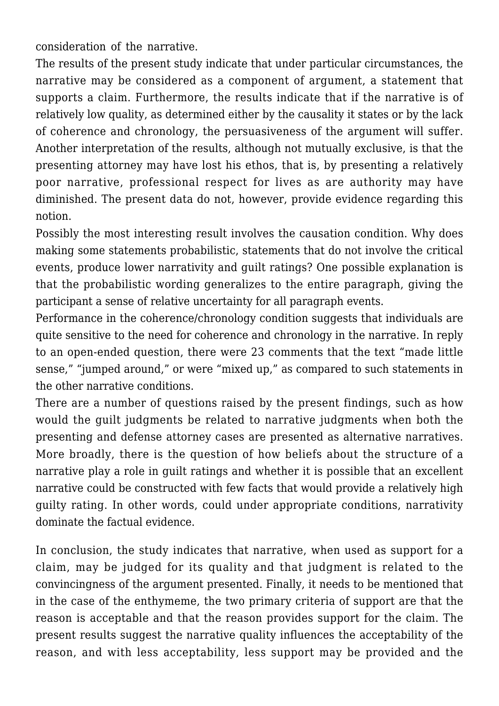consideration of the narrative.

The results of the present study indicate that under particular circumstances, the narrative may be considered as a component of argument, a statement that supports a claim. Furthermore, the results indicate that if the narrative is of relatively low quality, as determined either by the causality it states or by the lack of coherence and chronology, the persuasiveness of the argument will suffer. Another interpretation of the results, although not mutually exclusive, is that the presenting attorney may have lost his ethos, that is, by presenting a relatively poor narrative, professional respect for lives as are authority may have diminished. The present data do not, however, provide evidence regarding this notion.

Possibly the most interesting result involves the causation condition. Why does making some statements probabilistic, statements that do not involve the critical events, produce lower narrativity and guilt ratings? One possible explanation is that the probabilistic wording generalizes to the entire paragraph, giving the participant a sense of relative uncertainty for all paragraph events.

Performance in the coherence/chronology condition suggests that individuals are quite sensitive to the need for coherence and chronology in the narrative. In reply to an open-ended question, there were 23 comments that the text "made little sense," "jumped around," or were "mixed up," as compared to such statements in the other narrative conditions.

There are a number of questions raised by the present findings, such as how would the guilt judgments be related to narrative judgments when both the presenting and defense attorney cases are presented as alternative narratives. More broadly, there is the question of how beliefs about the structure of a narrative play a role in guilt ratings and whether it is possible that an excellent narrative could be constructed with few facts that would provide a relatively high guilty rating. In other words, could under appropriate conditions, narrativity dominate the factual evidence.

In conclusion, the study indicates that narrative, when used as support for a claim, may be judged for its quality and that judgment is related to the convincingness of the argument presented. Finally, it needs to be mentioned that in the case of the enthymeme, the two primary criteria of support are that the reason is acceptable and that the reason provides support for the claim. The present results suggest the narrative quality influences the acceptability of the reason, and with less acceptability, less support may be provided and the